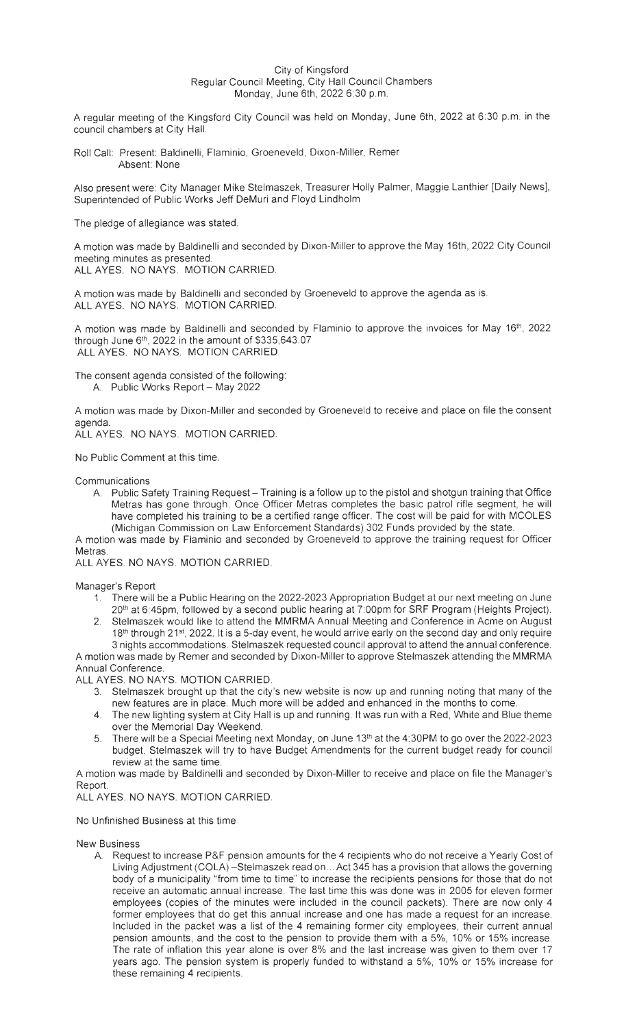## City of Kingsford Regular Council Meeting, City Hall Council Chambers Monday , June 6th, 2022 6:30 p.m.

A regular meeting of the Kingsford City Council was held on Monday, June 6th, 2022 at 6:30 p.m. in the council chambers at City Hall.

Roll Call: Present: Baldinelli, Flaminio, Groeneveld, Dixon-Miller, Remer Absent: None

Also present were: City Manager Mike Stelmaszek, Treasurer Holly Palmer, Maggie Lanthier [Daily News], Superintended of Public Works Jeff DeMuri and Floyd Lindholm

The pledge of allegiance was stated.

A motion was made by Baldinelli and seconded by Dixon-Miller to approve the May 16th, 2022 City Council meeting minutes as presented.

ALL AYES. NO NAYS. MOTION CARRIED.

A motion was made by Baldinelli and seconded by Groeneveld to approve the agenda as is. ALL AYES. NO NAYS. MOTION CARRIED.

A motion was made by Baldinelli and seconded by Flaminio to approve the invoices for May 16<sup>th</sup>, 2022 through June  $6<sup>th</sup>$ , 2022 in the amount of \$335,643.07 ALL AYES. NO NAYS. MOTION CARRIED.

The consent agenda consisted of the following: A. Public Works Report - May 2022

A motion was made by Dixon-Miller and seconded by Groeneveld to receive and place on file the consent agenda.

ALL AYES. NO NAYS. MOTION CARRIED.

No Public Comment at this time.

Communications

A. Public Safety Training Request - Training is a follow up to the pistol and shotgun training that Office Metras has gone through. Once Officer Metras completes the basic patrol rifle segment, he will have completed his training to be a certified range officer. The cost will be paid for with MCOLES (Michigan Commission on Law Enforcement Standards) 302 Funds provided by the state.

A motion was made by Flaminio and seconded by Groeneveld to approve the training request for Officer Metras.

ALL AYES. NO NAYS. MOTION CARRIED.

Manager's Report

- 1. There will be a Public Hearing on the 2022-2023 Appropriation Budget at our next meeting on June 20<sup>th</sup> at 6:45pm, followed by a second public hearing at 7:00pm for SRF Program (Heights Project).
- 2. Stelmaszek would like to attend the MMRMA Annual Meeting and Conference in Acme on August 18<sup>th</sup> through 21st, 2022. It is a 5-day event, he would arrive early on the second day and only require 3 nights accommodations. Stelmaszek requested council approval to attend the annual conference.

A motion was made by Remer and seconded by Dixon-Miller to approve Stelmaszek attending the MMRMA Annual Conference.

ALL AYES. NO NAYS. MOTION CARRIED.

- 3. Stelmaszek brought up that the city 's new website is now up and running noting that many of the new features are in place. Much more will be added and enhanced in the months to come.
- 4. The new lighting system at City Hall is up and running. It was run with a Red, White and Blue theme over the Memorial Day Weekend.
- 5. There will be a Special Meeting next Monday, on June 13th at the 4:30PM to go over the 2022-2023 budget. Stelmaszek will try to have Budget Amendments for the current budget ready for council review at the same time.

A motion was made by Baldinelli and seconded by Dixon-Miller to receive and place on file the Manager's Report.

ALL AYES. NO NAYS. MOTION CARRIED.

No Unfinished Business at this time

**New** Business

A. Request to increase P&F pension amounts for the 4 recipients who do not receive a Yearly Cost of Living Adjustment (COLA) -Stelmaszek read on ... Act 345 has a provision that allows the governing body of a municipality "from time to time" to increase the recipients pensions for those that do not receive an automatic annual increase. The last time this was done was in 2005 for eleven former employees (copies of the minutes were included in the council packets). There are now only 4 former employees that do get this annual increase and one has made a request for an increase. Included in the packet was a list of the 4 remaining former city employees, their current annual pension amounts, and the cost to the pension to provide them with a 5%, 10% or 15% increase. The rate of inflation this year alone is over 8% and the last increase was given to them over 17 years ago. The pension system is properly funded to withstand a 5%, 10% or 15% increase for these remaining 4 recipients .